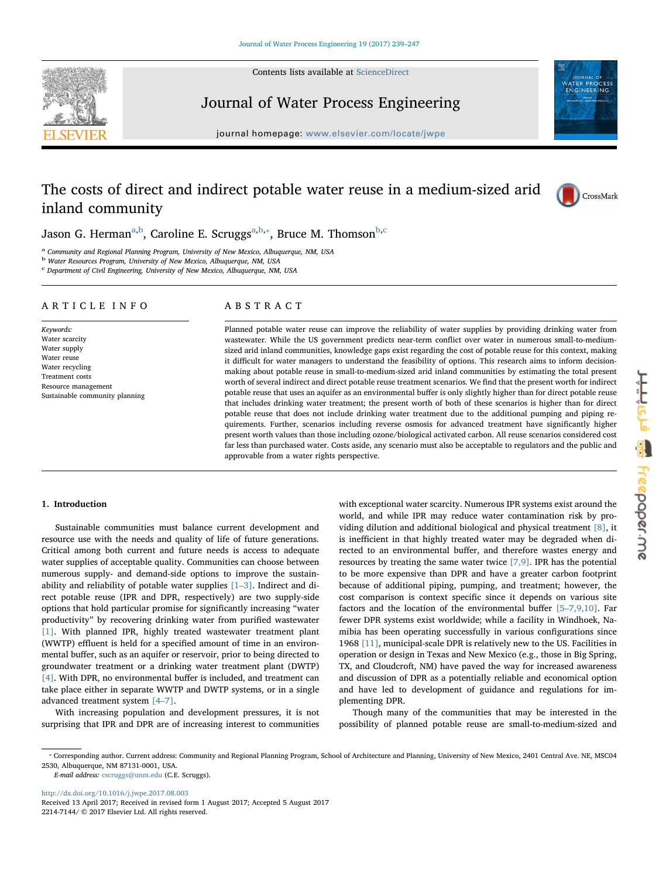Contents lists available at [ScienceDirect](http://www.sciencedirect.com/science/journal/22147144)



Journal of Water Process Engineering

journal homepage: [www.elsevier.com/locate/jwpe](http://www.elsevier.com/locate/jwpe)

# The costs of direct and indirect potable water reuse in a medium-sized arid inland community



J[a](#page-0-0)son G. Herman<sup>a[,b](#page-0-1)</sup>, Caroline E. Scruggs<sup>a,[b,](#page-0-1)</sup>\*, Bruce M. Thomson<sup>[b](#page-0-1)[,c](#page-0-3)</sup>

<span id="page-0-0"></span><sup>a</sup> Community and Regional Planning Program, University of New Mexico, Albuquerque, NM, USA

<span id="page-0-1"></span><sup>b</sup> Water Resources Program, University of New Mexico, Albuquerque, NM, USA

<span id="page-0-3"></span><sup>c</sup> Department of Civil Engineering, University of New Mexico, Albuquerque, NM, USA

# ARTICLE INFO

Keywords: Water scarcity Water supply Water reuse Water recycling Treatment costs Resource management Sustainable community planning

# ABSTRACT

Planned potable water reuse can improve the reliability of water supplies by providing drinking water from wastewater. While the US government predicts near-term conflict over water in numerous small-to-mediumsized arid inland communities, knowledge gaps exist regarding the cost of potable reuse for this context, making it difficult for water managers to understand the feasibility of options. This research aims to inform decisionmaking about potable reuse in small-to-medium-sized arid inland communities by estimating the total present worth of several indirect and direct potable reuse treatment scenarios. We find that the present worth for indirect potable reuse that uses an aquifer as an environmental buffer is only slightly higher than for direct potable reuse that includes drinking water treatment; the present worth of both of these scenarios is higher than for direct potable reuse that does not include drinking water treatment due to the additional pumping and piping requirements. Further, scenarios including reverse osmosis for advanced treatment have significantly higher present worth values than those including ozone/biological activated carbon. All reuse scenarios considered cost far less than purchased water. Costs aside, any scenario must also be acceptable to regulators and the public and approvable from a water rights perspective.

# 1. Introduction

Sustainable communities must balance current development and resource use with the needs and quality of life of future generations. Critical among both current and future needs is access to adequate water supplies of acceptable quality. Communities can choose between numerous supply- and demand-side options to improve the sustainability and reliability of potable water supplies [1–[3\]](#page-7-0). Indirect and direct potable reuse (IPR and DPR, respectively) are two supply-side options that hold particular promise for significantly increasing "water productivity" by recovering drinking water from purified wastewater [\[1\].](#page-7-0) With planned IPR, highly treated wastewater treatment plant (WWTP) effluent is held for a specified amount of time in an environmental buffer, such as an aquifer or reservoir, prior to being directed to groundwater treatment or a drinking water treatment plant (DWTP) [\[4\].](#page-7-1) With DPR, no environmental buffer is included, and treatment can take place either in separate WWTP and DWTP systems, or in a single advanced treatment system [\[4](#page-7-1)–7].

With increasing population and development pressures, it is not surprising that IPR and DPR are of increasing interest to communities with exceptional water scarcity. Numerous IPR systems exist around the world, and while IPR may reduce water contamination risk by providing dilution and additional biological and physical treatment [\[8\],](#page-7-2) it is inefficient in that highly treated water may be degraded when directed to an environmental buffer, and therefore wastes energy and resources by treating the same water twice [\[7,9\].](#page-7-3) IPR has the potential to be more expensive than DPR and have a greater carbon footprint because of additional piping, pumping, and treatment; however, the cost comparison is context specific since it depends on various site factors and the location of the environmental buffer  $[5-7,9,10]$  $[5-7,9,10]$ . Far fewer DPR systems exist worldwide; while a facility in Windhoek, Namibia has been operating successfully in various configurations since 1968 [\[11\]](#page-7-5), municipal-scale DPR is relatively new to the US. Facilities in operation or design in Texas and New Mexico (e.g., those in Big Spring, TX, and Cloudcroft, NM) have paved the way for increased awareness and discussion of DPR as a potentially reliable and economical option and have led to development of guidance and regulations for implementing DPR.

Though many of the communities that may be interested in the possibility of planned potable reuse are small-to-medium-sized and

E-mail address: [cscruggs@unm.edu](mailto:cscruggs@unm.edu) (C.E. Scruggs).

<http://dx.doi.org/10.1016/j.jwpe.2017.08.003>

<span id="page-0-2"></span><sup>⁎</sup> Corresponding author. Current address: Community and Regional Planning Program, School of Architecture and Planning, University of New Mexico, 2401 Central Ave. NE, MSC04 2530, Albuquerque, NM 87131-0001, USA.

Received 13 April 2017; Received in revised form 1 August 2017; Accepted 5 August 2017 2214-7144/ © 2017 Elsevier Ltd. All rights reserved.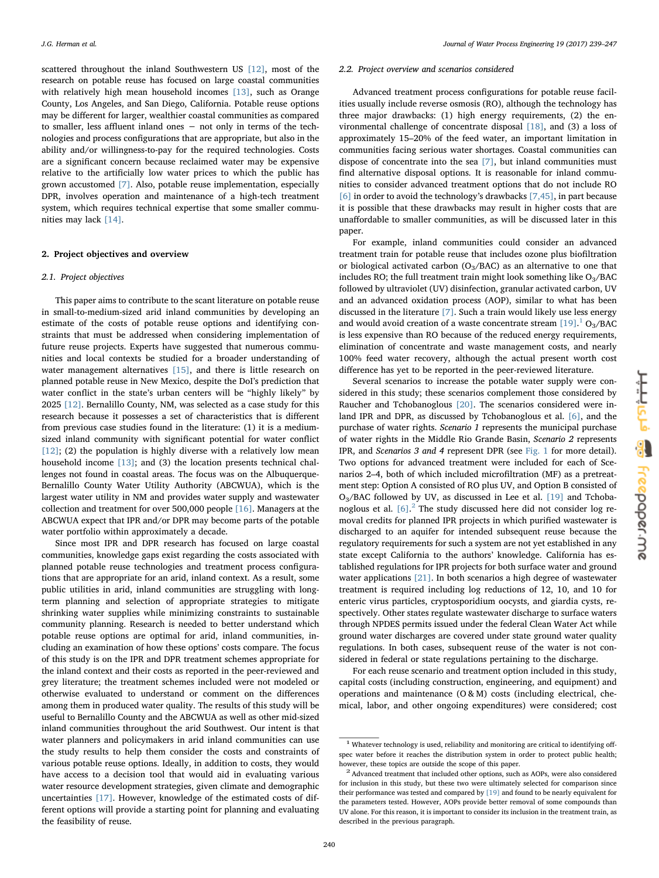scattered throughout the inland Southwestern US [\[12\],](#page-7-6) most of the research on potable reuse has focused on large coastal communities with relatively high mean household incomes [\[13\],](#page-7-7) such as Orange County, Los Angeles, and San Diego, California. Potable reuse options may be different for larger, wealthier coastal communities as compared to smaller, less affluent inland ones − not only in terms of the technologies and process configurations that are appropriate, but also in the ability and/or willingness-to-pay for the required technologies. Costs are a significant concern because reclaimed water may be expensive relative to the artificially low water prices to which the public has grown accustomed [\[7\].](#page-7-3) Also, potable reuse implementation, especially DPR, involves operation and maintenance of a high-tech treatment system, which requires technical expertise that some smaller communities may lack [\[14\].](#page-7-8)

# 2. Project objectives and overview

#### 2.1. Project objectives

This paper aims to contribute to the scant literature on potable reuse in small-to-medium-sized arid inland communities by developing an estimate of the costs of potable reuse options and identifying constraints that must be addressed when considering implementation of future reuse projects. Experts have suggested that numerous communities and local contexts be studied for a broader understanding of water management alternatives [\[15\]](#page-7-9), and there is little research on planned potable reuse in New Mexico, despite the DoI's prediction that water conflict in the state's urban centers will be "highly likely" by 2025 [\[12\].](#page-7-6) Bernalillo County, NM, was selected as a case study for this research because it possesses a set of characteristics that is different from previous case studies found in the literature: (1) it is a mediumsized inland community with significant potential for water conflict  $[12]$ ; (2) the population is highly diverse with a relatively low mean household income [\[13\];](#page-7-7) and (3) the location presents technical challenges not found in coastal areas. The focus was on the Albuquerque-Bernalillo County Water Utility Authority (ABCWUA), which is the largest water utility in NM and provides water supply and wastewater collection and treatment for over 500,000 people [\[16\]](#page-7-10). Managers at the ABCWUA expect that IPR and/or DPR may become parts of the potable water portfolio within approximately a decade.

Since most IPR and DPR research has focused on large coastal communities, knowledge gaps exist regarding the costs associated with planned potable reuse technologies and treatment process configurations that are appropriate for an arid, inland context. As a result, some public utilities in arid, inland communities are struggling with longterm planning and selection of appropriate strategies to mitigate shrinking water supplies while minimizing constraints to sustainable community planning. Research is needed to better understand which potable reuse options are optimal for arid, inland communities, including an examination of how these options' costs compare. The focus of this study is on the IPR and DPR treatment schemes appropriate for the inland context and their costs as reported in the peer-reviewed and grey literature; the treatment schemes included were not modeled or otherwise evaluated to understand or comment on the differences among them in produced water quality. The results of this study will be useful to Bernalillo County and the ABCWUA as well as other mid-sized inland communities throughout the arid Southwest. Our intent is that water planners and policymakers in arid inland communities can use the study results to help them consider the costs and constraints of various potable reuse options. Ideally, in addition to costs, they would have access to a decision tool that would aid in evaluating various water resource development strategies, given climate and demographic uncertainties [\[17\].](#page-7-11) However, knowledge of the estimated costs of different options will provide a starting point for planning and evaluating the feasibility of reuse.

#### 2.2. Project overview and scenarios considered

Advanced treatment process configurations for potable reuse facilities usually include reverse osmosis (RO), although the technology has three major drawbacks: (1) high energy requirements, (2) the environmental challenge of concentrate disposal [\[18\],](#page-7-12) and (3) a loss of approximately 15–20% of the feed water, an important limitation in communities facing serious water shortages. Coastal communities can dispose of concentrate into the sea [\[7\],](#page-7-3) but inland communities must find alternative disposal options. It is reasonable for inland communities to consider advanced treatment options that do not include RO [\[6\]](#page-7-13) in order to avoid the technology's drawbacks [\[7,45\],](#page-7-3) in part because it is possible that these drawbacks may result in higher costs that are unaffordable to smaller communities, as will be discussed later in this paper.

For example, inland communities could consider an advanced treatment train for potable reuse that includes ozone plus biofiltration or biological activated carbon  $(O_3/BAC)$  as an alternative to one that includes RO; the full treatment train might look something like  $O<sub>3</sub>/BAC$ followed by ultraviolet (UV) disinfection, granular activated carbon, UV and an advanced oxidation process (AOP), similar to what has been discussed in the literature [\[7\].](#page-7-3) Such a train would likely use less energy and would avoid creation of a waste concentrate stream  $[19]$  $[19]$  $[19]$ .<sup>1</sup> O<sub>3</sub>/BAC is less expensive than RO because of the reduced energy requirements, elimination of concentrate and waste management costs, and nearly 100% feed water recovery, although the actual present worth cost difference has yet to be reported in the peer-reviewed literature.

Several scenarios to increase the potable water supply were considered in this study; these scenarios complement those considered by Raucher and Tchobanoglous [\[20\].](#page-7-15) The scenarios considered were inland IPR and DPR, as discussed by Tchobanoglous et al. [\[6\],](#page-7-13) and the purchase of water rights. Scenario 1 represents the municipal purchase of water rights in the Middle Rio Grande Basin, Scenario 2 represents IPR, and Scenarios 3 and 4 represent DPR (see [Fig. 1](#page-2-0) for more detail). Two options for advanced treatment were included for each of Scenarios 2–4, both of which included microfiltration (MF) as a pretreatment step: Option A consisted of RO plus UV, and Option B consisted of  $O_3$ /BAC followed by UV, as discussed in Lee et al. [\[19\]](#page-7-14) and Tchobanoglous et al. [\[6\].](#page-7-13) [2](#page-1-1) The study discussed here did not consider log removal credits for planned IPR projects in which purified wastewater is discharged to an aquifer for intended subsequent reuse because the regulatory requirements for such a system are not yet established in any state except California to the authors' knowledge. California has established regulations for IPR projects for both surface water and ground water applications [\[21\].](#page-7-16) In both scenarios a high degree of wastewater treatment is required including log reductions of 12, 10, and 10 for enteric virus particles, cryptosporidium oocysts, and giardia cysts, respectively. Other states regulate wastewater discharge to surface waters through NPDES permits issued under the federal Clean Water Act while ground water discharges are covered under state ground water quality regulations. In both cases, subsequent reuse of the water is not considered in federal or state regulations pertaining to the discharge.

For each reuse scenario and treatment option included in this study, capital costs (including construction, engineering, and equipment) and operations and maintenance (O & M) costs (including electrical, chemical, labor, and other ongoing expenditures) were considered; cost

<span id="page-1-0"></span> $^{\rm 1}$  Whatever technology is used, reliability and monitoring are critical to identifying offspec water before it reaches the distribution system in order to protect public health; however, these topics are outside the scope of this paper.

<span id="page-1-1"></span><sup>&</sup>lt;sup>2</sup> Advanced treatment that included other options, such as AOPs, were also considered for inclusion in this study, but these two were ultimately selected for comparison since their performance was tested and compared by [\[19\]](#page-7-14) and found to be nearly equivalent for the parameters tested. However, AOPs provide better removal of some compounds than UV alone. For this reason, it is important to consider its inclusion in the treatment train, as described in the previous paragraph.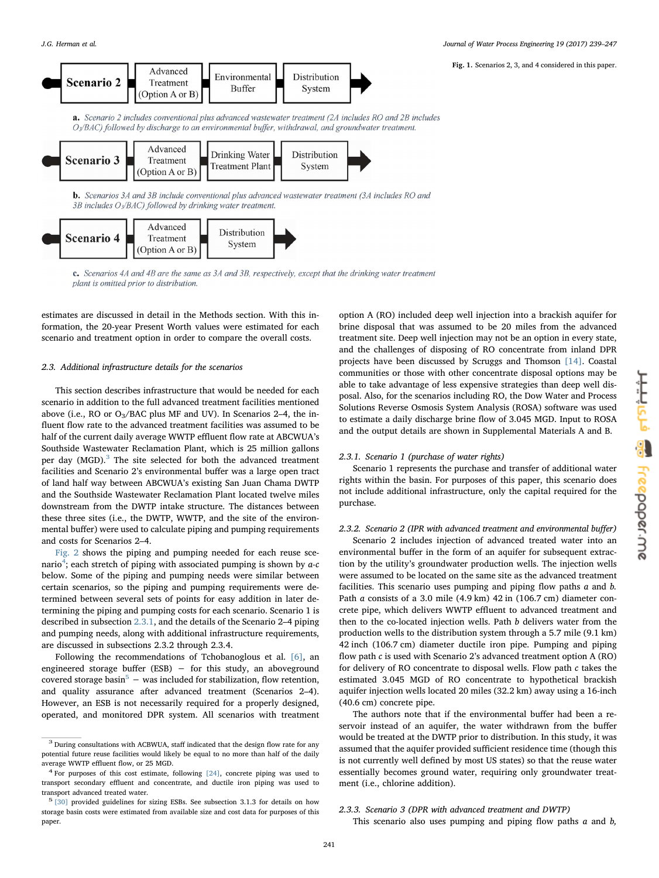Fig. 1. Scenarios 2, 3, and 4 considered in this paper.

<span id="page-2-0"></span>

c. Scenarios 4A and 4B are the same as 3A and 3B, respectively, except that the drinking water treatment plant is omitted prior to distribution.

estimates are discussed in detail in the Methods section. With this information, the 20-year Present Worth values were estimated for each scenario and treatment option in order to compare the overall costs.

### 2.3. Additional infrastructure details for the scenarios

This section describes infrastructure that would be needed for each scenario in addition to the full advanced treatment facilities mentioned above (i.e., RO or  $O_3/BAC$  plus MF and UV). In Scenarios 2-4, the influent flow rate to the advanced treatment facilities was assumed to be half of the current daily average WWTP effluent flow rate at ABCWUA's Southside Wastewater Reclamation Plant, which is 25 million gallons per day (MGD).<sup>[3](#page-2-1)</sup> The site selected for both the advanced treatment facilities and Scenario 2's environmental buffer was a large open tract of land half way between ABCWUA's existing San Juan Chama DWTP and the Southside Wastewater Reclamation Plant located twelve miles downstream from the DWTP intake structure. The distances between these three sites (i.e., the DWTP, WWTP, and the site of the environmental buffer) were used to calculate piping and pumping requirements and costs for Scenarios 2–4.

[Fig. 2](#page-3-0) shows the piping and pumping needed for each reuse sce-nario<sup>[4](#page-2-2)</sup>; each stretch of piping with associated pumping is shown by a-c below. Some of the piping and pumping needs were similar between certain scenarios, so the piping and pumping requirements were determined between several sets of points for easy addition in later determining the piping and pumping costs for each scenario. Scenario 1 is described in subsection [2.3.1](#page-2-3), and the details of the Scenario 2–4 piping and pumping needs, along with additional infrastructure requirements, are discussed in subsections 2.3.2 through 2.3.4.

Following the recommendations of Tchobanoglous et al. [\[6\],](#page-7-13) an engineered storage buffer (ESB)  $-$  for this study, an aboveground covered storage basin<sup>[5](#page-2-4)</sup> − was included for stabilization, flow retention, and quality assurance after advanced treatment (Scenarios 2–4). However, an ESB is not necessarily required for a properly designed, operated, and monitored DPR system. All scenarios with treatment option A (RO) included deep well injection into a brackish aquifer for brine disposal that was assumed to be 20 miles from the advanced treatment site. Deep well injection may not be an option in every state, and the challenges of disposing of RO concentrate from inland DPR projects have been discussed by Scruggs and Thomson [\[14\]](#page-7-8). Coastal communities or those with other concentrate disposal options may be able to take advantage of less expensive strategies than deep well disposal. Also, for the scenarios including RO, the Dow Water and Process Solutions Reverse Osmosis System Analysis (ROSA) software was used to estimate a daily discharge brine flow of 3.045 MGD. Input to ROSA and the output details are shown in Supplemental Materials A and B.

# <span id="page-2-3"></span>2.3.1. Scenario 1 (purchase of water rights)

Scenario 1 represents the purchase and transfer of additional water rights within the basin. For purposes of this paper, this scenario does not include additional infrastructure, only the capital required for the purchase.

#### 2.3.2. Scenario 2 (IPR with advanced treatment and environmental buffer)

Scenario 2 includes injection of advanced treated water into an environmental buffer in the form of an aquifer for subsequent extraction by the utility's groundwater production wells. The injection wells were assumed to be located on the same site as the advanced treatment facilities. This scenario uses pumping and piping flow paths a and b. Path a consists of a 3.0 mile (4.9 km) 42 in (106.7 cm) diameter concrete pipe, which delivers WWTP effluent to advanced treatment and then to the co-located injection wells. Path b delivers water from the production wells to the distribution system through a 5.7 mile (9.1 km) 42 inch (106.7 cm) diameter ductile iron pipe. Pumping and piping flow path c is used with Scenario 2's advanced treatment option A (RO) for delivery of RO concentrate to disposal wells. Flow path c takes the estimated 3.045 MGD of RO concentrate to hypothetical brackish aquifer injection wells located 20 miles (32.2 km) away using a 16-inch (40.6 cm) concrete pipe.

The authors note that if the environmental buffer had been a reservoir instead of an aquifer, the water withdrawn from the buffer would be treated at the DWTP prior to distribution. In this study, it was assumed that the aquifer provided sufficient residence time (though this is not currently well defined by most US states) so that the reuse water essentially becomes ground water, requiring only groundwater treatment (i.e., chlorine addition).

# 2.3.3. Scenario 3 (DPR with advanced treatment and DWTP)

This scenario also uses pumping and piping flow paths  $a$  and  $b$ ,

<span id="page-2-1"></span> $^3$  During consultations with ACBWUA, staff indicated that the design flow rate for any potential future reuse facilities would likely be equal to no more than half of the daily average WWTP effluent flow, or 25 MGD.<br> $\frac{4}{10}$  For purposes of this cost estimate, following [\[24\],](#page-7-17) concrete piping was used to

<span id="page-2-2"></span>transport secondary effluent and concentrate, and ductile iron piping was used to transport advanced treated water.<br> $5$  [\[30\]](#page-8-0) provided guidelines for sizing ESBs. See subsection 3.1.3 for details on how

<span id="page-2-4"></span>storage basin costs were estimated from available size and cost data for purposes of this paper.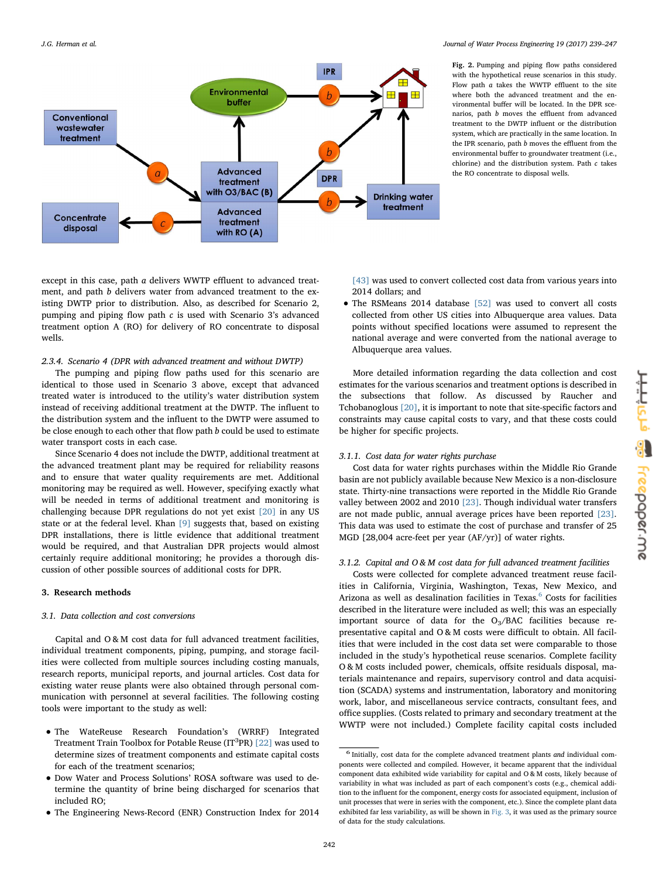<span id="page-3-0"></span>

J.G. Herman et al. *Journal of Water Process Engineering 19 (2017) 239–247*

Fig. 2. Pumping and piping flow paths considered with the hypothetical reuse scenarios in this study. Flow path  $a$  takes the WWTP effluent to the site where both the advanced treatment and the environmental buffer will be located. In the DPR scenarios, path b moves the effluent from advanced treatment to the DWTP influent or the distribution system, which are practically in the same location. In the IPR scenario, path b moves the effluent from the environmental buffer to groundwater treatment (i.e., chlorine) and the distribution system. Path c takes the RO concentrate to disposal wells.

except in this case, path a delivers WWTP effluent to advanced treatment, and path b delivers water from advanced treatment to the existing DWTP prior to distribution. Also, as described for Scenario 2, pumping and piping flow path c is used with Scenario 3's advanced treatment option A (RO) for delivery of RO concentrate to disposal wells.

# 2.3.4. Scenario 4 (DPR with advanced treatment and without DWTP)

The pumping and piping flow paths used for this scenario are identical to those used in Scenario 3 above, except that advanced treated water is introduced to the utility's water distribution system instead of receiving additional treatment at the DWTP. The influent to the distribution system and the influent to the DWTP were assumed to be close enough to each other that flow path b could be used to estimate water transport costs in each case.

Since Scenario 4 does not include the DWTP, additional treatment at the advanced treatment plant may be required for reliability reasons and to ensure that water quality requirements are met. Additional monitoring may be required as well. However, specifying exactly what will be needed in terms of additional treatment and monitoring is challenging because DPR regulations do not yet exist [\[20\]](#page-7-15) in any US state or at the federal level. Khan [\[9\]](#page-7-18) suggests that, based on existing DPR installations, there is little evidence that additional treatment would be required, and that Australian DPR projects would almost certainly require additional monitoring; he provides a thorough discussion of other possible sources of additional costs for DPR.

### 3. Research methods

# 3.1. Data collection and cost conversions

Capital and O & M cost data for full advanced treatment facilities, individual treatment components, piping, pumping, and storage facilities were collected from multiple sources including costing manuals, research reports, municipal reports, and journal articles. Cost data for existing water reuse plants were also obtained through personal communication with personnel at several facilities. The following costing tools were important to the study as well:

- The WateReuse Research Foundation's (WRRF) Integrated Treatment Train Toolbox for Potable Reuse (IT<sup>3</sup>PR) [\[22\]](#page-7-19) was used to determine sizes of treatment components and estimate capital costs for each of the treatment scenarios;
- Dow Water and Process Solutions' ROSA software was used to determine the quantity of brine being discharged for scenarios that included RO;
- The Engineering News-Record (ENR) Construction Index for 2014

[\[43\]](#page-8-1) was used to convert collected cost data from various years into 2014 dollars; and

• The RSMeans 2014 database [\[52\]](#page-8-2) was used to convert all costs collected from other US cities into Albuquerque area values. Data points without specified locations were assumed to represent the national average and were converted from the national average to Albuquerque area values.

More detailed information regarding the data collection and cost estimates for the various scenarios and treatment options is described in the subsections that follow. As discussed by Raucher and Tchobanoglous [\[20\],](#page-7-15) it is important to note that site-specific factors and constraints may cause capital costs to vary, and that these costs could be higher for specific projects.

# 3.1.1. Cost data for water rights purchase

Cost data for water rights purchases within the Middle Rio Grande basin are not publicly available because New Mexico is a non-disclosure state. Thirty-nine transactions were reported in the Middle Rio Grande valley between 2002 and 2010 [\[23\]](#page-7-20). Though individual water transfers are not made public, annual average prices have been reported [\[23\]](#page-7-20). This data was used to estimate the cost of purchase and transfer of 25 MGD [28,004 acre-feet per year (AF/yr)] of water rights.

# 3.1.2. Capital and O & M cost data for full advanced treatment facilities

Costs were collected for complete advanced treatment reuse facilities in California, Virginia, Washington, Texas, New Mexico, and Arizona as well as desalination facilities in Texas.<sup>[6](#page-3-1)</sup> Costs for facilities described in the literature were included as well; this was an especially important source of data for the  $O_3/BAC$  facilities because representative capital and O & M costs were difficult to obtain. All facilities that were included in the cost data set were comparable to those included in the study's hypothetical reuse scenarios. Complete facility O & M costs included power, chemicals, offsite residuals disposal, materials maintenance and repairs, supervisory control and data acquisition (SCADA) systems and instrumentation, laboratory and monitoring work, labor, and miscellaneous service contracts, consultant fees, and office supplies. (Costs related to primary and secondary treatment at the WWTP were not included.) Complete facility capital costs included

<span id="page-3-1"></span><sup>6</sup> Initially, cost data for the complete advanced treatment plants and individual components were collected and compiled. However, it became apparent that the individual component data exhibited wide variability for capital and O & M costs, likely because of variability in what was included as part of each component's costs (e.g., chemical addition to the influent for the component, energy costs for associated equipment, inclusion of unit processes that were in series with the component, etc.). Since the complete plant data exhibited far less variability, as will be shown in [Fig. 3](#page-4-0), it was used as the primary source of data for the study calculations.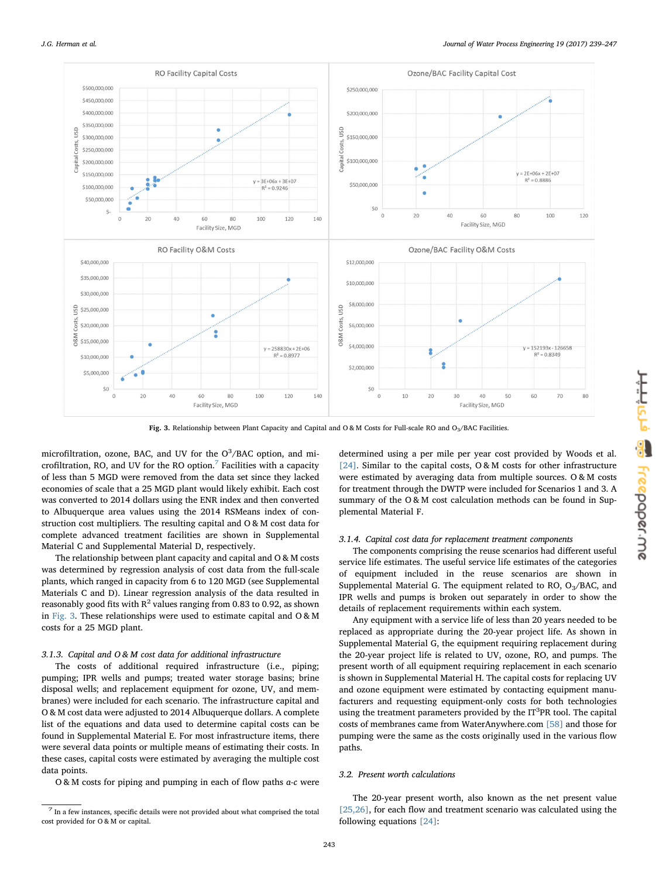<span id="page-4-0"></span>

Fig. 3. Relationship between Plant Capacity and Capital and O & M Costs for Full-scale RO and O<sub>3</sub>/BAC Facilities.

microfiltration, ozone, BAC, and UV for the  $O^3/BAC$  option, and mi-crofiltration, RO, and UV for the RO option.<sup>[7](#page-4-1)</sup> Facilities with a capacity of less than 5 MGD were removed from the data set since they lacked economies of scale that a 25 MGD plant would likely exhibit. Each cost was converted to 2014 dollars using the ENR index and then converted to Albuquerque area values using the 2014 RSMeans index of construction cost multipliers. The resulting capital and O & M cost data for complete advanced treatment facilities are shown in Supplemental Material C and Supplemental Material D, respectively.

The relationship between plant capacity and capital and O & M costs was determined by regression analysis of cost data from the full-scale plants, which ranged in capacity from 6 to 120 MGD (see Supplemental Materials C and D). Linear regression analysis of the data resulted in reasonably good fits with  $R^2$  values ranging from 0.83 to 0.92, as shown in [Fig. 3.](#page-4-0) These relationships were used to estimate capital and O & M costs for a 25 MGD plant.

#### 3.1.3. Capital and O & M cost data for additional infrastructure

The costs of additional required infrastructure (i.e., piping; pumping; IPR wells and pumps; treated water storage basins; brine disposal wells; and replacement equipment for ozone, UV, and membranes) were included for each scenario. The infrastructure capital and O & M cost data were adjusted to 2014 Albuquerque dollars. A complete list of the equations and data used to determine capital costs can be found in Supplemental Material E. For most infrastructure items, there were several data points or multiple means of estimating their costs. In these cases, capital costs were estimated by averaging the multiple cost data points.

O & M costs for piping and pumping in each of flow paths a-c were

determined using a per mile per year cost provided by Woods et al. [\[24\]](#page-7-17). Similar to the capital costs, O & M costs for other infrastructure were estimated by averaging data from multiple sources. O & M costs for treatment through the DWTP were included for Scenarios 1 and 3. A summary of the O & M cost calculation methods can be found in Supplemental Material F.

#### 3.1.4. Capital cost data for replacement treatment components

The components comprising the reuse scenarios had different useful service life estimates. The useful service life estimates of the categories of equipment included in the reuse scenarios are shown in Supplemental Material G. The equipment related to RO,  $O<sub>3</sub>/BAC$ , and IPR wells and pumps is broken out separately in order to show the details of replacement requirements within each system.

Any equipment with a service life of less than 20 years needed to be replaced as appropriate during the 20-year project life. As shown in Supplemental Material G, the equipment requiring replacement during the 20-year project life is related to UV, ozone, RO, and pumps. The present worth of all equipment requiring replacement in each scenario is shown in Supplemental Material H. The capital costs for replacing UV and ozone equipment were estimated by contacting equipment manufacturers and requesting equipment-only costs for both technologies using the treatment parameters provided by the IT<sup>3</sup>PR tool. The capital costs of membranes came from WaterAnywhere.com [\[58\]](#page-8-3) and those for pumping were the same as the costs originally used in the various flow paths.

# 3.2. Present worth calculations

The 20-year present worth, also known as the net present value [\[25,26\],](#page-7-21) for each flow and treatment scenario was calculated using the following equations [\[24\]](#page-7-17):

<span id="page-4-1"></span><sup>7</sup> In a few instances, specific details were not provided about what comprised the total cost provided for O & M or capital.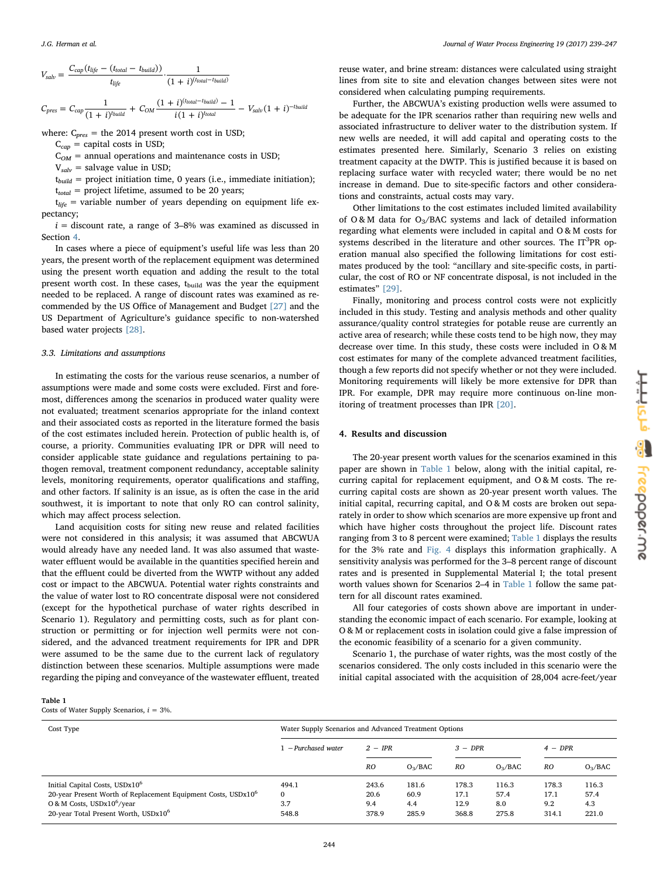$$
V_{sab} = \frac{C_{cap}(t_{life} - (t_{total} - t_{build}))}{t_{life}} \cdot \frac{1}{(1 + i)^{(t_{total} - t_{build})}}
$$
  

$$
C_{pres} = C_{cap} \frac{1}{(1 + i)^{t_{build}}} + C_{OM} \frac{(1 + i)^{(t_{total} - t_{build})} - 1}{i(1 + i)^{t_{total}}} - V_{sab} (1 + i)^{-t_{build}}
$$

where:  $C_{pres}$  = the 2014 present worth cost in USD;

 $C_{cav}$  = capital costs in USD;

 $C_{OM}$  = annual operations and maintenance costs in USD;

 $V_{\text{salv}} =$  salvage value in USD;

 $t_{build}$  = project initiation time, 0 years (i.e., immediate initiation);

 $t_{total}$  = project lifetime, assumed to be 20 years;

 $t_{life}$  = variable number of years depending on equipment life expectancy;

 $i =$  discount rate, a range of 3–8% was examined as discussed in Section [4.](#page-5-0)

In cases where a piece of equipment's useful life was less than 20 years, the present worth of the replacement equipment was determined using the present worth equation and adding the result to the total present worth cost. In these cases,  $t<sub>build</sub>$  was the year the equipment needed to be replaced. A range of discount rates was examined as recommended by the US Office of Management and Budget [\[27\]](#page-7-22) and the US Department of Agriculture's guidance specific to non-watershed based water projects [\[28\]](#page-7-23).

# 3.3. Limitations and assumptions

In estimating the costs for the various reuse scenarios, a number of assumptions were made and some costs were excluded. First and foremost, differences among the scenarios in produced water quality were not evaluated; treatment scenarios appropriate for the inland context and their associated costs as reported in the literature formed the basis of the cost estimates included herein. Protection of public health is, of course, a priority. Communities evaluating IPR or DPR will need to consider applicable state guidance and regulations pertaining to pathogen removal, treatment component redundancy, acceptable salinity levels, monitoring requirements, operator qualifications and staffing, and other factors. If salinity is an issue, as is often the case in the arid southwest, it is important to note that only RO can control salinity, which may affect process selection.

Land acquisition costs for siting new reuse and related facilities were not considered in this analysis; it was assumed that ABCWUA would already have any needed land. It was also assumed that wastewater effluent would be available in the quantities specified herein and that the effluent could be diverted from the WWTP without any added cost or impact to the ABCWUA. Potential water rights constraints and the value of water lost to RO concentrate disposal were not considered (except for the hypothetical purchase of water rights described in Scenario 1). Regulatory and permitting costs, such as for plant construction or permitting or for injection well permits were not considered, and the advanced treatment requirements for IPR and DPR were assumed to be the same due to the current lack of regulatory distinction between these scenarios. Multiple assumptions were made regarding the piping and conveyance of the wastewater effluent, treated

reuse water, and brine stream: distances were calculated using straight lines from site to site and elevation changes between sites were not considered when calculating pumping requirements.

Further, the ABCWUA's existing production wells were assumed to be adequate for the IPR scenarios rather than requiring new wells and associated infrastructure to deliver water to the distribution system. If new wells are needed, it will add capital and operating costs to the estimates presented here. Similarly, Scenario 3 relies on existing treatment capacity at the DWTP. This is justified because it is based on replacing surface water with recycled water; there would be no net increase in demand. Due to site-specific factors and other considerations and constraints, actual costs may vary.

Other limitations to the cost estimates included limited availability of O & M data for  $O_3/BAC$  systems and lack of detailed information regarding what elements were included in capital and O & M costs for systems described in the literature and other sources. The IT<sup>3</sup>PR operation manual also specified the following limitations for cost estimates produced by the tool: "ancillary and site-specific costs, in particular, the cost of RO or NF concentrate disposal, is not included in the estimates" [\[29\]](#page-7-24).

Finally, monitoring and process control costs were not explicitly included in this study. Testing and analysis methods and other quality assurance/quality control strategies for potable reuse are currently an active area of research; while these costs tend to be high now, they may decrease over time. In this study, these costs were included in O & M cost estimates for many of the complete advanced treatment facilities, though a few reports did not specify whether or not they were included. Monitoring requirements will likely be more extensive for DPR than IPR. For example, DPR may require more continuous on-line monitoring of treatment processes than IPR [\[20\].](#page-7-15)

#### <span id="page-5-0"></span>4. Results and discussion

The 20-year present worth values for the scenarios examined in this paper are shown in [Table 1](#page-5-1) below, along with the initial capital, recurring capital for replacement equipment, and O & M costs. The recurring capital costs are shown as 20-year present worth values. The initial capital, recurring capital, and O & M costs are broken out separately in order to show which scenarios are more expensive up front and which have higher costs throughout the project life. Discount rates ranging from 3 to 8 percent were examined; [Table 1](#page-5-1) displays the results for the 3% rate and [Fig. 4](#page-6-0) displays this information graphically. A sensitivity analysis was performed for the 3–8 percent range of discount rates and is presented in Supplemental Material I; the total present worth values shown for Scenarios 2–4 in [Table 1](#page-5-1) follow the same pattern for all discount rates examined.

All four categories of costs shown above are important in understanding the economic impact of each scenario. For example, looking at O & M or replacement costs in isolation could give a false impression of the economic feasibility of a scenario for a given community.

Scenario 1, the purchase of water rights, was the most costly of the scenarios considered. The only costs included in this scenario were the initial capital associated with the acquisition of 28,004 acre-feet/year

<span id="page-5-1"></span>Table 1

Costs of Water Supply Scenarios,  $i = 3\%$ .

| Cost Type                                                                 | Water Supply Scenarios and Advanced Treatment Options |           |           |           |           |           |           |
|---------------------------------------------------------------------------|-------------------------------------------------------|-----------|-----------|-----------|-----------|-----------|-----------|
|                                                                           | $1 - P$ urchased water                                | $2 - IPR$ |           | $3 - DPR$ |           | $4 - DPR$ |           |
|                                                                           |                                                       | RO        | $O_2/BAC$ | RO        | $O_2/BAC$ | RO.       | $O_2/BAC$ |
| Initial Capital Costs, USDx10 <sup>6</sup>                                | 494.1                                                 | 243.6     | 181.6     | 178.3     | 116.3     | 178.3     | 116.3     |
| 20-year Present Worth of Replacement Equipment Costs, USDx10 <sup>6</sup> | $\mathbf{0}$                                          | 20.6      | 60.9      | 17.1      | 57.4      | 17.1      | 57.4      |
| O & M Costs, $USDx10^6$ /year                                             | 3.7                                                   | 9.4       | 4.4       | 12.9      | 8.0       | 9.2       | 4.3       |
| 20-year Total Present Worth, USDx10 <sup>6</sup>                          | 548.8                                                 | 378.9     | 285.9     | 368.8     | 275.8     | 314.1     | 221.0     |

<u>H.L.J. G. Freepaper.me</u>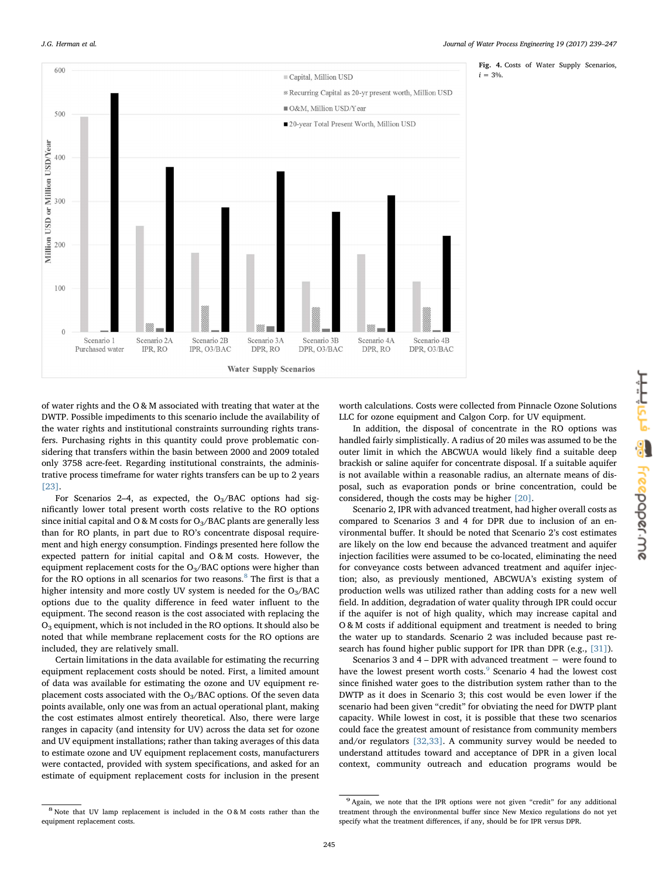Fig. 4. Costs of Water Supply Scenarios,  $i = 3\%$ 

<span id="page-6-0"></span>

of water rights and the O & M associated with treating that water at the DWTP. Possible impediments to this scenario include the availability of the water rights and institutional constraints surrounding rights transfers. Purchasing rights in this quantity could prove problematic considering that transfers within the basin between 2000 and 2009 totaled only 3758 acre-feet. Regarding institutional constraints, the administrative process timeframe for water rights transfers can be up to 2 years [\[23\]](#page-7-20).

For Scenarios 2–4, as expected, the  $O_3/BAC$  options had significantly lower total present worth costs relative to the RO options since initial capital and O & M costs for  $O_3/BAC$  plants are generally less than for RO plants, in part due to RO's concentrate disposal requirement and high energy consumption. Findings presented here follow the expected pattern for initial capital and O & M costs. However, the equipment replacement costs for the  $O<sub>3</sub>/BAC$  options were higher than for the RO options in all scenarios for two reasons. $8$  The first is that a higher intensity and more costly UV system is needed for the  $O<sub>3</sub>/BAC$ options due to the quality difference in feed water influent to the equipment. The second reason is the cost associated with replacing the  $O<sub>3</sub>$  equipment, which is not included in the RO options. It should also be noted that while membrane replacement costs for the RO options are included, they are relatively small.

Certain limitations in the data available for estimating the recurring equipment replacement costs should be noted. First, a limited amount of data was available for estimating the ozone and UV equipment replacement costs associated with the  $O<sub>3</sub>/BAC$  options. Of the seven data points available, only one was from an actual operational plant, making the cost estimates almost entirely theoretical. Also, there were large ranges in capacity (and intensity for UV) across the data set for ozone and UV equipment installations; rather than taking averages of this data to estimate ozone and UV equipment replacement costs, manufacturers were contacted, provided with system specifications, and asked for an estimate of equipment replacement costs for inclusion in the present

worth calculations. Costs were collected from Pinnacle Ozone Solutions LLC for ozone equipment and Calgon Corp. for UV equipment.

In addition, the disposal of concentrate in the RO options was handled fairly simplistically. A radius of 20 miles was assumed to be the outer limit in which the ABCWUA would likely find a suitable deep brackish or saline aquifer for concentrate disposal. If a suitable aquifer is not available within a reasonable radius, an alternate means of disposal, such as evaporation ponds or brine concentration, could be considered, though the costs may be higher [\[20\].](#page-7-15)

Scenario 2, IPR with advanced treatment, had higher overall costs as compared to Scenarios 3 and 4 for DPR due to inclusion of an environmental buffer. It should be noted that Scenario 2's cost estimates are likely on the low end because the advanced treatment and aquifer injection facilities were assumed to be co-located, eliminating the need for conveyance costs between advanced treatment and aquifer injection; also, as previously mentioned, ABCWUA's existing system of production wells was utilized rather than adding costs for a new well field. In addition, degradation of water quality through IPR could occur if the aquifer is not of high quality, which may increase capital and O & M costs if additional equipment and treatment is needed to bring the water up to standards. Scenario 2 was included because past re-search has found higher public support for IPR than DPR (e.g., [\[31\]](#page-8-4)).

Scenarios 3 and 4 – DPR with advanced treatment − were found to have the lowest present worth costs.<sup>[9](#page-6-2)</sup> Scenario 4 had the lowest cost since finished water goes to the distribution system rather than to the DWTP as it does in Scenario 3; this cost would be even lower if the scenario had been given "credit" for obviating the need for DWTP plant capacity. While lowest in cost, it is possible that these two scenarios could face the greatest amount of resistance from community members and/or regulators [\[32,33\]](#page-8-5). A community survey would be needed to understand attitudes toward and acceptance of DPR in a given local context, community outreach and education programs would be

<span id="page-6-1"></span><sup>8</sup> Note that UV lamp replacement is included in the O & M costs rather than the equipment replacement costs.

<span id="page-6-2"></span><sup>9</sup> Again, we note that the IPR options were not given "credit" for any additional treatment through the environmental buffer since New Mexico regulations do not yet specify what the treatment differences, if any, should be for IPR versus DPR.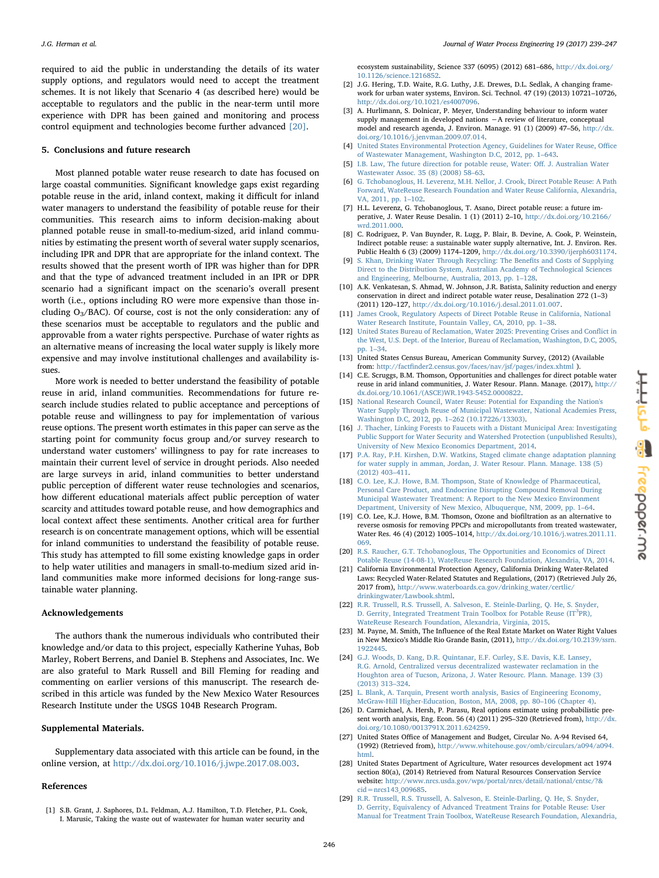required to aid the public in understanding the details of its water supply options, and regulators would need to accept the treatment schemes. It is not likely that Scenario 4 (as described here) would be acceptable to regulators and the public in the near-term until more experience with DPR has been gained and monitoring and process control equipment and technologies become further advanced [\[20\].](#page-7-15)

## 5. Conclusions and future research

Most planned potable water reuse research to date has focused on large coastal communities. Significant knowledge gaps exist regarding potable reuse in the arid, inland context, making it difficult for inland water managers to understand the feasibility of potable reuse for their communities. This research aims to inform decision-making about planned potable reuse in small-to-medium-sized, arid inland communities by estimating the present worth of several water supply scenarios, including IPR and DPR that are appropriate for the inland context. The results showed that the present worth of IPR was higher than for DPR and that the type of advanced treatment included in an IPR or DPR scenario had a significant impact on the scenario's overall present worth (i.e., options including RO were more expensive than those including  $O_3/BAC$ ). Of course, cost is not the only consideration: any of these scenarios must be acceptable to regulators and the public and approvable from a water rights perspective. Purchase of water rights as an alternative means of increasing the local water supply is likely more expensive and may involve institutional challenges and availability issues.

More work is needed to better understand the feasibility of potable reuse in arid, inland communities. Recommendations for future research include studies related to public acceptance and perceptions of potable reuse and willingness to pay for implementation of various reuse options. The present worth estimates in this paper can serve as the starting point for community focus group and/or survey research to understand water customers' willingness to pay for rate increases to maintain their current level of service in drought periods. Also needed are large surveys in arid, inland communities to better understand public perception of different water reuse technologies and scenarios, how different educational materials affect public perception of water scarcity and attitudes toward potable reuse, and how demographics and local context affect these sentiments. Another critical area for further research is on concentrate management options, which will be essential for inland communities to understand the feasibility of potable reuse. This study has attempted to fill some existing knowledge gaps in order to help water utilities and managers in small-to-medium sized arid inland communities make more informed decisions for long-range sustainable water planning.

#### Acknowledgements

The authors thank the numerous individuals who contributed their knowledge and/or data to this project, especially Katherine Yuhas, Bob Marley, Robert Berrens, and Daniel B. Stephens and Associates, Inc. We are also grateful to Mark Russell and Bill Fleming for reading and commenting on earlier versions of this manuscript. The research described in this article was funded by the New Mexico Water Resources Research Institute under the USGS 104B Research Program.

#### Supplemental Materials.

Supplementary data associated with this article can be found, in the online version, at <http://dx.doi.org/10.1016/j.jwpe.2017.08.003>.

#### References

<span id="page-7-0"></span>[1] S.B. Grant, J. Saphores, D.L. Feldman, A.J. Hamilton, T.D. Fletcher, P.L. Cook, I. Marusic, Taking the waste out of wastewater for human water security and

ecosystem sustainability, Science 337 (6095) (2012) 681–686, [http://dx.doi.org/](http://dx.doi.org/10.1126/science.1216852) [10.1126/science.1216852.](http://dx.doi.org/10.1126/science.1216852)

- [2] J.G. Hering, T.D. Waite, R.G. Luthy, J.E. Drewes, D.L. Sedlak, A changing frame work for urban water systems, Environ. Sci. Technol. 47 (19) (2013) 10721–10726, [http://dx.doi.org/10.1021/es4007096.](http://dx.doi.org/10.1021/es4007096)
- [3] A. Hurlimann, S. Dolnicar, P. Meyer, Understanding behaviour to inform water supply management in developed nations −A review of literature, conceptual model and research agenda, J. Environ. Manage. 91 (1) (2009) 47–56, [http://dx.](http://dx.doi.org/10.1016/j.jenvman.2009.07.014) [doi.org/10.1016/j.jenvman.2009.07.014.](http://dx.doi.org/10.1016/j.jenvman.2009.07.014)
- <span id="page-7-1"></span>[4] [United States Environmental Protection Agency, Guidelines for Water Reuse, O](http://refhub.elsevier.com/S2214-7144(17)30249-0/sbref0020)ffice [of Wastewater Management, Washington D.C, 2012, pp. 1](http://refhub.elsevier.com/S2214-7144(17)30249-0/sbref0020)–643.
- <span id="page-7-4"></span>[5] [I.B. Law, The future direction for potable reuse, Water: O](http://refhub.elsevier.com/S2214-7144(17)30249-0/sbref0025)ff. J. Australian Water [Wastewater Assoc. 35 \(8\) \(2008\) 58](http://refhub.elsevier.com/S2214-7144(17)30249-0/sbref0025)–63.
- <span id="page-7-13"></span>[6] [G. Tchobanoglous, H. Leverenz, M.H. Nellor, J. Crook, Direct Potable Reuse: A Path](http://refhub.elsevier.com/S2214-7144(17)30249-0/sbref0030) [Forward, WateReuse Research Foundation and Water Reuse California, Alexandria,](http://refhub.elsevier.com/S2214-7144(17)30249-0/sbref0030) [VA, 2011, pp. 1](http://refhub.elsevier.com/S2214-7144(17)30249-0/sbref0030)–102.
- <span id="page-7-3"></span>[7] H.L. Leverenz, G. Tchobanoglous, T. Asano, Direct potable reuse: a future imperative, J. Water Reuse Desalin. 1 (1) (2011) 2–10, [http://dx.doi.org/10.2166/](http://dx.doi.org/10.2166/wrd.2011.000) [wrd.2011.000.](http://dx.doi.org/10.2166/wrd.2011.000)
- <span id="page-7-2"></span>[8] C. Rodriguez, P. Van Buynder, R. Lugg, P. Blair, B. Devine, A. Cook, P. Weinstein, Indirect potable reuse: a sustainable water supply alternative, Int. J. Environ. Res. Public Health 6 (3) (2009) 1174–1209, [http://dx.doi.org/10.3390/ijerph6031174.](http://dx.doi.org/10.3390/ijerph6031174)
- <span id="page-7-18"></span>[9] [S. Khan, Drinking Water Through Recycling: The Bene](http://refhub.elsevier.com/S2214-7144(17)30249-0/sbref0045)fits and Costs of Supplying [Direct to the Distribution System, Australian Academy of Technological Sciences](http://refhub.elsevier.com/S2214-7144(17)30249-0/sbref0045) [and Engineering, Melbourne, Australia, 2013, pp. 1](http://refhub.elsevier.com/S2214-7144(17)30249-0/sbref0045)–128.
- [10] A.K. Venkatesan, S. Ahmad, W. Johnson, J.R. Batista, Salinity reduction and energy conservation in direct and indirect potable water reuse, Desalination 272 (1–3) (2011) 120–127, [http://dx.doi.org/10.1016/j.desal.2011.01.007.](http://dx.doi.org/10.1016/j.desal.2011.01.007)
- <span id="page-7-5"></span>[11] [James Crook, Regulatory Aspects of Direct Potable Reuse in California, National](http://refhub.elsevier.com/S2214-7144(17)30249-0/sbref0055) [Water Research Institute, Fountain Valley, CA, 2010, pp. 1](http://refhub.elsevier.com/S2214-7144(17)30249-0/sbref0055)–38.
- <span id="page-7-6"></span>[12] [United States Bureau of Reclamation, Water 2025: Preventing Crises and Con](http://refhub.elsevier.com/S2214-7144(17)30249-0/sbref0060)flict in [the West, U.S. Dept. of the Interior, Bureau of Reclamation, Washington, D.C, 2005,](http://refhub.elsevier.com/S2214-7144(17)30249-0/sbref0060) [pp. 1](http://refhub.elsevier.com/S2214-7144(17)30249-0/sbref0060)–34.
- <span id="page-7-7"></span>[13] United States Census Bureau, American Community Survey, (2012) (Available from: http://factfi[nder2.census.gov/faces/nav/jsf/pages/index.xhtml](http://factfinder2.census.gov/faces/nav/jsf/pages/index.xhtml) ).
- <span id="page-7-8"></span>[14] C.E. Scruggs, B.M. Thomson, Opportunities and challenges for direct potable water reuse in arid inland communities, J. Water Resour. Plann. Manage. (2017), [http://](http://dx.doi.org/10.1061/(ASCE)WR.1943-5452.0000822) [dx.doi.org/10.1061/\(ASCE\)WR.1943-5452.0000822.](http://dx.doi.org/10.1061/(ASCE)WR.1943-5452.0000822)
- <span id="page-7-9"></span>[15] National [Research Council, Water Reuse: Potential for Expanding the Nation's](http://refhub.elsevier.com/S2214-7144(17)30249-0/sbref0075) [Water Supply Through Reuse of Municipal Wastewater, National Academies Press,](http://refhub.elsevier.com/S2214-7144(17)30249-0/sbref0075) [Washington D.C, 2012, pp. 1](http://refhub.elsevier.com/S2214-7144(17)30249-0/sbref0075)–262 (10.17226/13303).
- <span id="page-7-10"></span>[16] [J. Thacher, Linking Forests to Faucets with a Distant Municipal Area: Investigating](http://refhub.elsevier.com/S2214-7144(17)30249-0/sbref0080) [Public Support for Water Security and Watershed Protection \(unpublished Results\),](http://refhub.elsevier.com/S2214-7144(17)30249-0/sbref0080) [University of New Mexico Economics Department, 2014.](http://refhub.elsevier.com/S2214-7144(17)30249-0/sbref0080)
- <span id="page-7-11"></span>[17] [P.A. Ray, P.H. Kirshen, D.W. Watkins, Staged climate change adaptation planning](http://refhub.elsevier.com/S2214-7144(17)30249-0/sbref0085) [for water supply in amman, Jordan, J. Water Resour. Plann. Manage. 138 \(5\)](http://refhub.elsevier.com/S2214-7144(17)30249-0/sbref0085) [\(2012\) 403](http://refhub.elsevier.com/S2214-7144(17)30249-0/sbref0085)–411.
- <span id="page-7-12"></span>[18] [C.O. Lee, K.J. Howe, B.M. Thompson, State of Knowledge of Pharmaceutical,](http://refhub.elsevier.com/S2214-7144(17)30249-0/sbref0090) [Personal Care Product, and Endocrine Disrupting Compound Removal During](http://refhub.elsevier.com/S2214-7144(17)30249-0/sbref0090) [Municipal Wastewater Treatment: A Report to the New Mexico Environment](http://refhub.elsevier.com/S2214-7144(17)30249-0/sbref0090) [Department, University of New Mexico, Albuquerque, NM, 2009, pp. 1](http://refhub.elsevier.com/S2214-7144(17)30249-0/sbref0090)–64.
- <span id="page-7-14"></span>[19] C.O. Lee, K.J. Howe, B.M. Thomson, Ozone and biofiltration as an alternative to reverse osmosis for removing PPCPs and micropollutants from treated wastewater, Water Res. 46 (4) (2012) 1005–1014, [http://dx.doi.org/10.1016/j.watres.2011.11.](http://dx.doi.org/10.1016/j.watres.2011.11.069) [069.](http://dx.doi.org/10.1016/j.watres.2011.11.069)
- <span id="page-7-15"></span>[20] [R.S. Raucher, G.T. Tchobanoglous, The Opportunities and Economics of Direct](http://refhub.elsevier.com/S2214-7144(17)30249-0/sbref0100) [Potable Reuse \(14-08-1\), WateReuse Research Foundation, Alexandria, VA, 2014.](http://refhub.elsevier.com/S2214-7144(17)30249-0/sbref0100)
- <span id="page-7-16"></span>[21] California Environmental Protection Agency, California Drinking Water-Related Laws: Recycled Water-Related Statutes and Regulations, (2017) (Retrieved July 26, 2017 from), [http://www.waterboards.ca.gov/drinking\\_water/certlic/](http://www.waterboards.ca.gov/drinking_water/certlic/drinkingwater/Lawbook.shtml) [drinkingwater/Lawbook.shtml](http://www.waterboards.ca.gov/drinking_water/certlic/drinkingwater/Lawbook.shtml).
- <span id="page-7-19"></span>[22] [R.R. Trussell, R.S. Trussell, A. Salveson, E. Steinle-Darling, Q. He, S. Snyder,](http://refhub.elsevier.com/S2214-7144(17)30249-0/sbref0110) [D. Gerrity, Integrated Treatment Train Toolbox for Potable Reuse \(IT](http://refhub.elsevier.com/S2214-7144(17)30249-0/sbref0110)<sup>3</sup>PR), [WateReuse Research Foundation, Alexandria, Virginia, 2015.](http://refhub.elsevier.com/S2214-7144(17)30249-0/sbref0110)
- <span id="page-7-20"></span>[23] M. Payne, M. Smith, The Influence of the Real Estate Market on Water Right Values in New Mexico's Middle Rio Grande Basin, (2011), [http://dx.doi.org/10.2139/ssrn.](http://dx.doi.org/10.2139/ssrn.1922445) [1922445.](http://dx.doi.org/10.2139/ssrn.1922445)
- <span id="page-7-17"></span>[24] [G.J. Woods, D. Kang, D.R. Quintanar, E.F. Curley, S.E. Davis, K.E. Lansey,](http://refhub.elsevier.com/S2214-7144(17)30249-0/sbref0120) [R.G. Arnold, Centralized versus decentralized wastewater reclamation in the](http://refhub.elsevier.com/S2214-7144(17)30249-0/sbref0120) [Houghton area of Tucson, Arizona, J. Water Resourc. Plann. Manage. 139 \(3\)](http://refhub.elsevier.com/S2214-7144(17)30249-0/sbref0120) [\(2013\) 313](http://refhub.elsevier.com/S2214-7144(17)30249-0/sbref0120)–324.
- <span id="page-7-21"></span>[25] [L. Blank, A. Tarquin, Present worth analysis, Basics of Engineering Economy,](http://refhub.elsevier.com/S2214-7144(17)30249-0/sbref0125) [McGraw-Hill Higher-Education, Boston, MA, 2008, pp. 80](http://refhub.elsevier.com/S2214-7144(17)30249-0/sbref0125)–106 (Chapter 4).
- [26] D. Carmichael, A. Hersh, P. Parasu, Real options estimate using probabilistic present worth analysis, Eng. Econ. 56 (4) (2011) 295-320 (Retrieved from), [http://dx.](http://dx.doi.org//10.1080/0013791X.2011.624259) [doi.org/10.1080/0013791X.2011.624259](http://dx.doi.org//10.1080/0013791X.2011.624259).
- <span id="page-7-22"></span>[27] United States Office of Management and Budget, Circular No. A-94 Revised 64, (1992) (Retrieved from), [http://www.whitehouse.gov/omb/circulars/a094/a094.](http://www.whitehouse.gov/omb/circulars/a094/a094.html) [html](http://www.whitehouse.gov/omb/circulars/a094/a094.html).
- <span id="page-7-23"></span>[28] United States Department of Agriculture, Water resources development act 1974 section 80(a), (2014) Retrieved from Natural Resources Conservation Service website: [http://www.nrcs.usda.gov/wps/portal/nrcs/detail/national/cntsc/?&](http://www.nrcs.usda.gov/wps/portal/nrcs/detail/national/cntsc/?%26cid=nrcs143_009685) [cid=nrcs143\\_009685](http://www.nrcs.usda.gov/wps/portal/nrcs/detail/national/cntsc/?%26cid=nrcs143_009685).
- <span id="page-7-24"></span>[29] [R.R. Trussell, R.S. Trussell, A. Salveson, E. Steinle-Darling, Q. He, S. Snyder,](http://refhub.elsevier.com/S2214-7144(17)30249-0/sbref0145) [D. Gerrity, Equivalency of Advanced Treatment Trains for Potable Reuse: User](http://refhub.elsevier.com/S2214-7144(17)30249-0/sbref0145) [Manual for Treatment Train Toolbox, WateReuse Research Foundation, Alexandria,](http://refhub.elsevier.com/S2214-7144(17)30249-0/sbref0145)